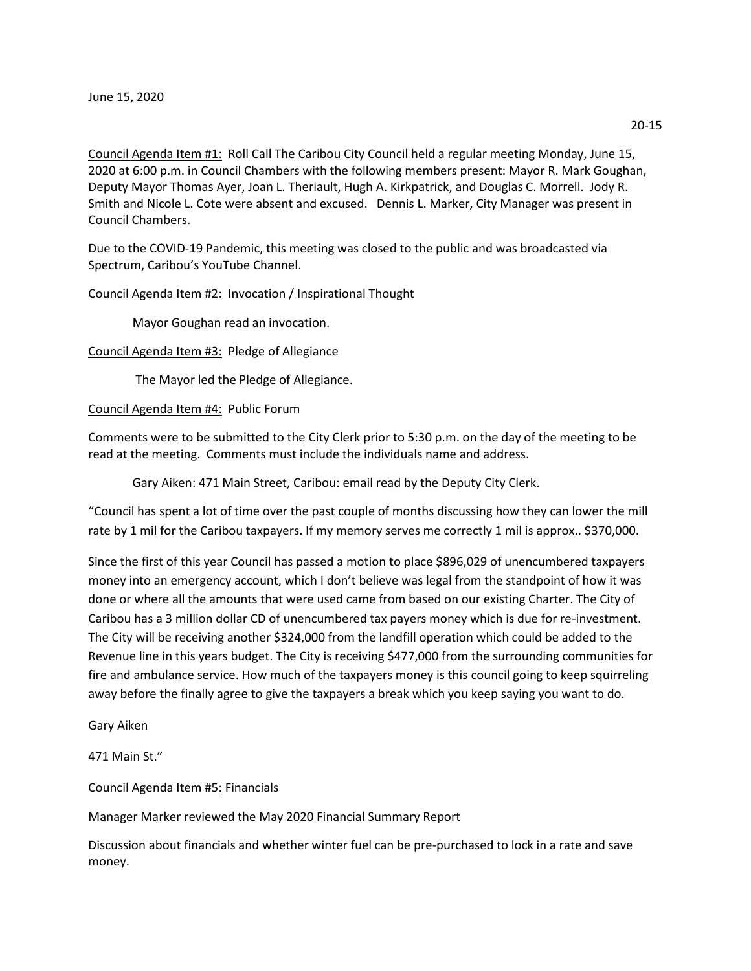Council Agenda Item #1: Roll Call The Caribou City Council held a regular meeting Monday, June 15, 2020 at 6:00 p.m. in Council Chambers with the following members present: Mayor R. Mark Goughan, Deputy Mayor Thomas Ayer, Joan L. Theriault, Hugh A. Kirkpatrick, and Douglas C. Morrell. Jody R. Smith and Nicole L. Cote were absent and excused. Dennis L. Marker, City Manager was present in Council Chambers.

Due to the COVID-19 Pandemic, this meeting was closed to the public and was broadcasted via Spectrum, Caribou's YouTube Channel.

Council Agenda Item #2: Invocation / Inspirational Thought

Mayor Goughan read an invocation.

Council Agenda Item #3: Pledge of Allegiance

The Mayor led the Pledge of Allegiance.

Council Agenda Item #4: Public Forum

Comments were to be submitted to the City Clerk prior to 5:30 p.m. on the day of the meeting to be read at the meeting. Comments must include the individuals name and address.

Gary Aiken: 471 Main Street, Caribou: email read by the Deputy City Clerk.

"Council has spent a lot of time over the past couple of months discussing how they can lower the mill rate by 1 mil for the Caribou taxpayers. If my memory serves me correctly 1 mil is approx.. \$370,000.

Since the first of this year Council has passed a motion to place \$896,029 of unencumbered taxpayers money into an emergency account, which I don't believe was legal from the standpoint of how it was done or where all the amounts that were used came from based on our existing Charter. The City of Caribou has a 3 million dollar CD of unencumbered tax payers money which is due for re-investment. The City will be receiving another \$324,000 from the landfill operation which could be added to the Revenue line in this years budget. The City is receiving \$477,000 from the surrounding communities for fire and ambulance service. How much of the taxpayers money is this council going to keep squirreling away before the finally agree to give the taxpayers a break which you keep saying you want to do.

Gary Aiken

471 Main St."

Council Agenda Item #5: Financials

Manager Marker reviewed the May 2020 Financial Summary Report

Discussion about financials and whether winter fuel can be pre-purchased to lock in a rate and save money.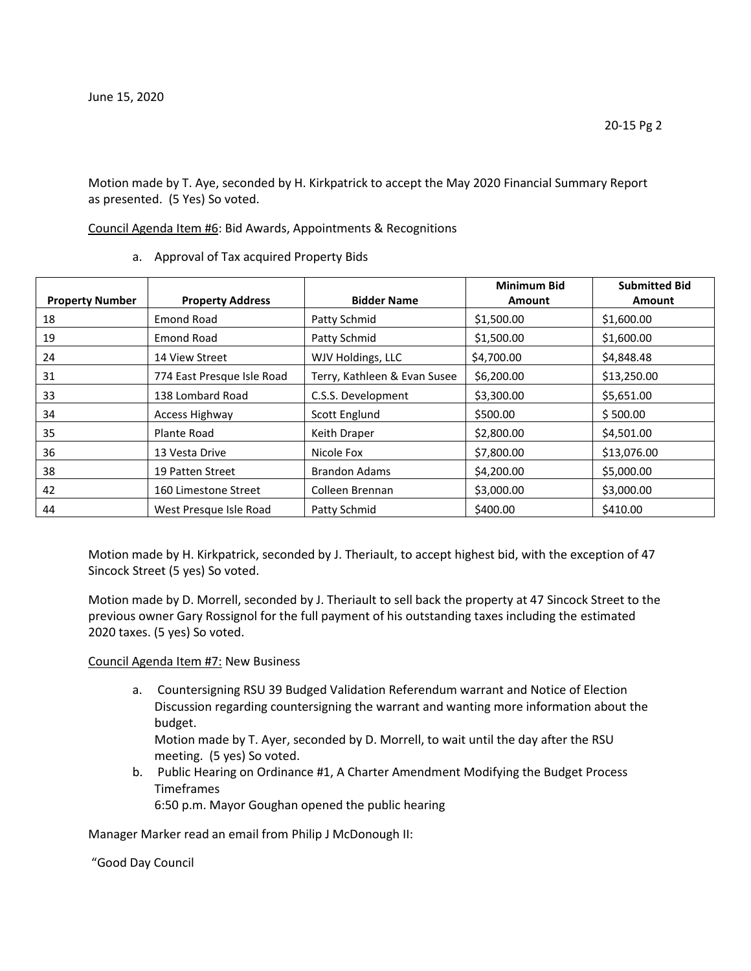Motion made by T. Aye, seconded by H. Kirkpatrick to accept the May 2020 Financial Summary Report as presented. (5 Yes) So voted.

Council Agenda Item #6: Bid Awards, Appointments & Recognitions

a. Approval of Tax acquired Property Bids

|                        |                            |                              | <b>Minimum Bid</b> | <b>Submitted Bid</b> |
|------------------------|----------------------------|------------------------------|--------------------|----------------------|
| <b>Property Number</b> | <b>Property Address</b>    | <b>Bidder Name</b>           | <b>Amount</b>      | <b>Amount</b>        |
| 18                     | <b>Emond Road</b>          | Patty Schmid                 | \$1,500.00         | \$1,600.00           |
| 19                     | <b>Emond Road</b>          | Patty Schmid                 | \$1,500.00         | \$1,600.00           |
| 24                     | 14 View Street             | WJV Holdings, LLC            | \$4,700.00         | \$4,848.48           |
| 31                     | 774 East Presque Isle Road | Terry, Kathleen & Evan Susee | \$6,200.00         | \$13,250.00          |
| 33                     | 138 Lombard Road           | C.S.S. Development           | \$3,300.00         | \$5,651.00           |
| 34                     | <b>Access Highway</b>      | Scott Englund                | \$500.00           | \$500.00             |
| 35                     | Plante Road                | Keith Draper                 | \$2,800.00         | \$4,501.00           |
| 36                     | 13 Vesta Drive             | Nicole Fox                   | \$7,800.00         | \$13,076.00          |
| 38                     | 19 Patten Street           | <b>Brandon Adams</b>         | \$4,200.00         | \$5,000.00           |
| 42                     | 160 Limestone Street       | Colleen Brennan              | \$3,000.00         | \$3,000.00           |
| 44                     | West Presque Isle Road     | Patty Schmid                 | \$400.00           | \$410.00             |

Motion made by H. Kirkpatrick, seconded by J. Theriault, to accept highest bid, with the exception of 47 Sincock Street (5 yes) So voted.

Motion made by D. Morrell, seconded by J. Theriault to sell back the property at 47 Sincock Street to the previous owner Gary Rossignol for the full payment of his outstanding taxes including the estimated 2020 taxes. (5 yes) So voted.

## Council Agenda Item #7: New Business

a. Countersigning RSU 39 Budged Validation Referendum warrant and Notice of Election Discussion regarding countersigning the warrant and wanting more information about the budget.

Motion made by T. Ayer, seconded by D. Morrell, to wait until the day after the RSU meeting. (5 yes) So voted.

b. Public Hearing on Ordinance #1, A Charter Amendment Modifying the Budget Process Timeframes

6:50 p.m. Mayor Goughan opened the public hearing

Manager Marker read an email from Philip J McDonough II:

"Good Day Council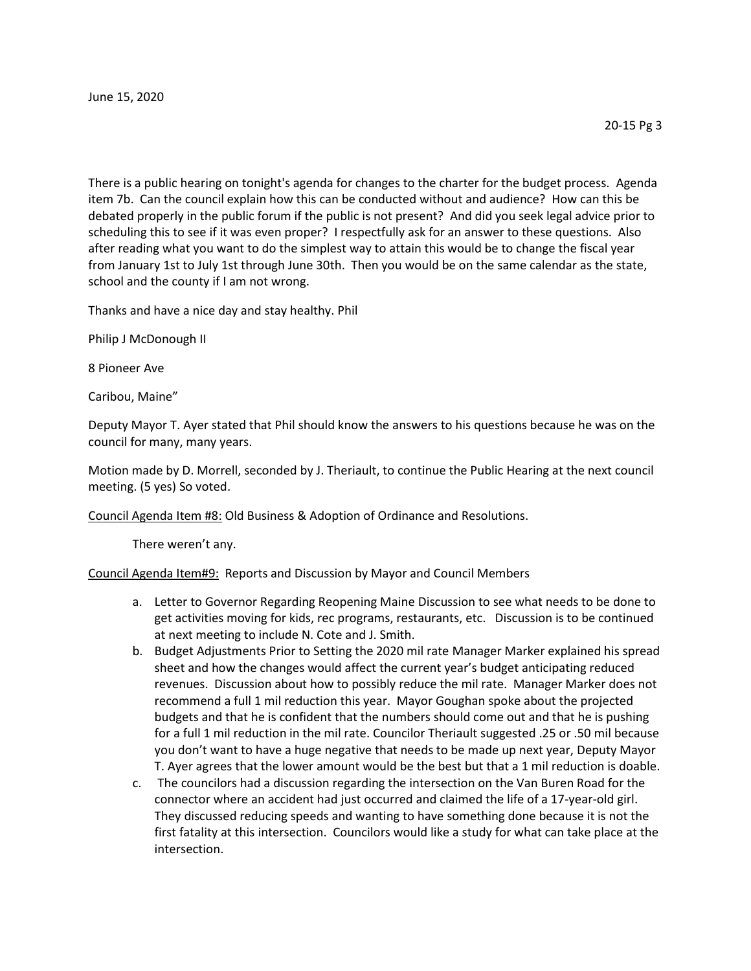June 15, 2020

There is a public hearing on tonight's agenda for changes to the charter for the budget process. Agenda item 7b. Can the council explain how this can be conducted without and audience? How can this be debated properly in the public forum if the public is not present? And did you seek legal advice prior to scheduling this to see if it was even proper? I respectfully ask for an answer to these questions. Also after reading what you want to do the simplest way to attain this would be to change the fiscal year from January 1st to July 1st through June 30th. Then you would be on the same calendar as the state, school and the county if I am not wrong.

Thanks and have a nice day and stay healthy. Phil

Philip J McDonough II

8 Pioneer Ave

Caribou, Maine"

Deputy Mayor T. Ayer stated that Phil should know the answers to his questions because he was on the council for many, many years.

Motion made by D. Morrell, seconded by J. Theriault, to continue the Public Hearing at the next council meeting. (5 yes) So voted.

Council Agenda Item #8: Old Business & Adoption of Ordinance and Resolutions.

There weren't any.

Council Agenda Item#9: Reports and Discussion by Mayor and Council Members

- a. Letter to Governor Regarding Reopening Maine Discussion to see what needs to be done to get activities moving for kids, rec programs, restaurants, etc. Discussion is to be continued at next meeting to include N. Cote and J. Smith.
- b. Budget Adjustments Prior to Setting the 2020 mil rate Manager Marker explained his spread sheet and how the changes would affect the current year's budget anticipating reduced revenues. Discussion about how to possibly reduce the mil rate. Manager Marker does not recommend a full 1 mil reduction this year. Mayor Goughan spoke about the projected budgets and that he is confident that the numbers should come out and that he is pushing for a full 1 mil reduction in the mil rate. Councilor Theriault suggested .25 or .50 mil because you don't want to have a huge negative that needs to be made up next year, Deputy Mayor T. Ayer agrees that the lower amount would be the best but that a 1 mil reduction is doable.
- c. The councilors had a discussion regarding the intersection on the Van Buren Road for the connector where an accident had just occurred and claimed the life of a 17-year-old girl. They discussed reducing speeds and wanting to have something done because it is not the first fatality at this intersection. Councilors would like a study for what can take place at the intersection.